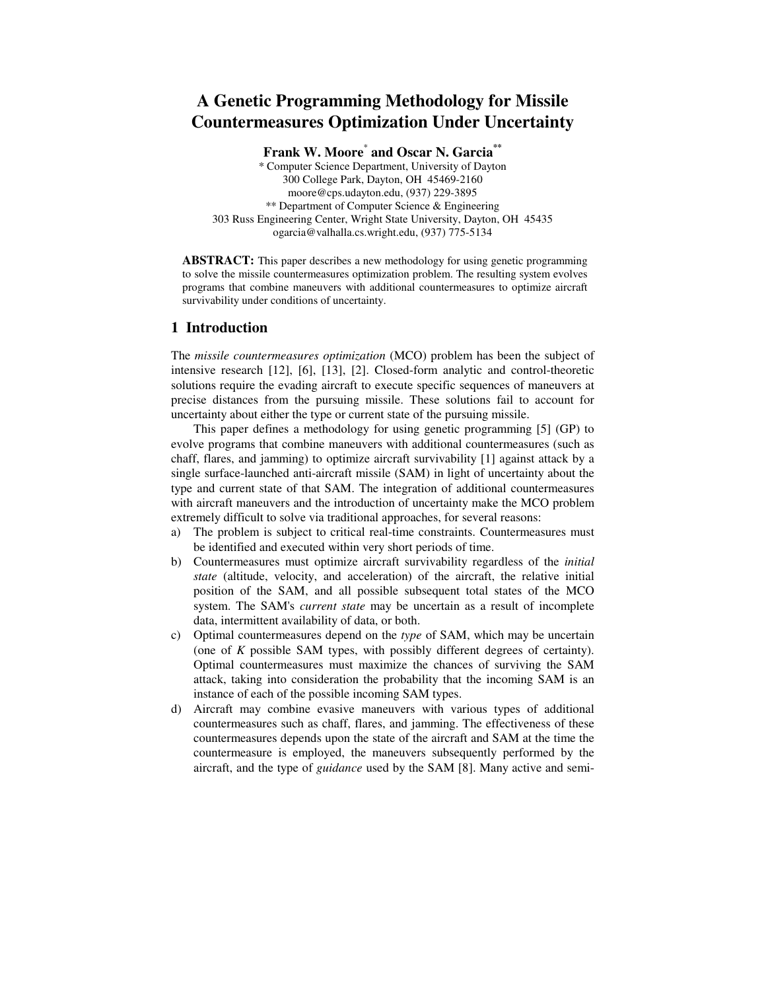# **A Genetic Programming Methodology for Missile Countermeasures Optimization Under Uncertainty**

**Frank W. Moore** \* **and Oscar N. Garcia \*\*** \* Computer Science Department, University of Dayton 300 College Park, Dayton, OH 45469-2160 moore@cps.udayton.edu, (937) 229-3895 \*\* Department of Computer Science & Engineering 303 Russ Engineering Center, Wright State University, Dayton, OH 45435 ogarcia@valhalla.cs.wright.edu, (937) 775-5134

**ABSTRACT:** This paper describes a new methodology for using genetic programming to solve the missile countermeasures optimization problem. The resulting system evolves programs that combine maneuvers with additional countermeasures to optimize aircraft survivability under conditions of uncertainty.

### **1 Introduction**

The *missile countermeasures optimization* (MCO) problem has been the subject of intensive research [12], [6], [13], [2]. Closed-form analytic and control-theoretic solutions require the evading aircraft to execute specific sequences of maneuvers at precise distances from the pursuing missile. These solutions fail to account for uncertainty about either the type or current state of the pursuing missile.

This paper defines a methodology for using genetic programming [5] (GP) to evolve programs that combine maneuvers with additional countermeasures (such as chaff, flares, and jamming) to optimize aircraft survivability [1] against attack by a single surface-launched anti-aircraft missile (SAM) in light of uncertainty about the type and current state of that SAM. The integration of additional countermeasures with aircraft maneuvers and the introduction of uncertainty make the MCO problem extremely difficult to solve via traditional approaches, for several reasons:

- a) The problem is subject to critical real-time constraints. Countermeasures must be identified and executed within very short periods of time.
- b) Countermeasures must optimize aircraft survivability regardless of the *initial state* (altitude, velocity, and acceleration) of the aircraft, the relative initial position of the SAM, and all possible subsequent total states of the MCO system. The SAM's *current state* may be uncertain as a result of incomplete data, intermittent availability of data, or both.
- c) Optimal countermeasures depend on the *type* of SAM, which may be uncertain (one of *K* possible SAM types, with possibly different degrees of certainty). Optimal countermeasures must maximize the chances of surviving the SAM attack, taking into consideration the probability that the incoming SAM is an instance of each of the possible incoming SAM types.
- d) Aircraft may combine evasive maneuvers with various types of additional countermeasures such as chaff, flares, and jamming. The effectiveness of these countermeasures depends upon the state of the aircraft and SAM at the time the countermeasure is employed, the maneuvers subsequently performed by the aircraft, and the type of *guidance* used by the SAM [8]. Many active and semi-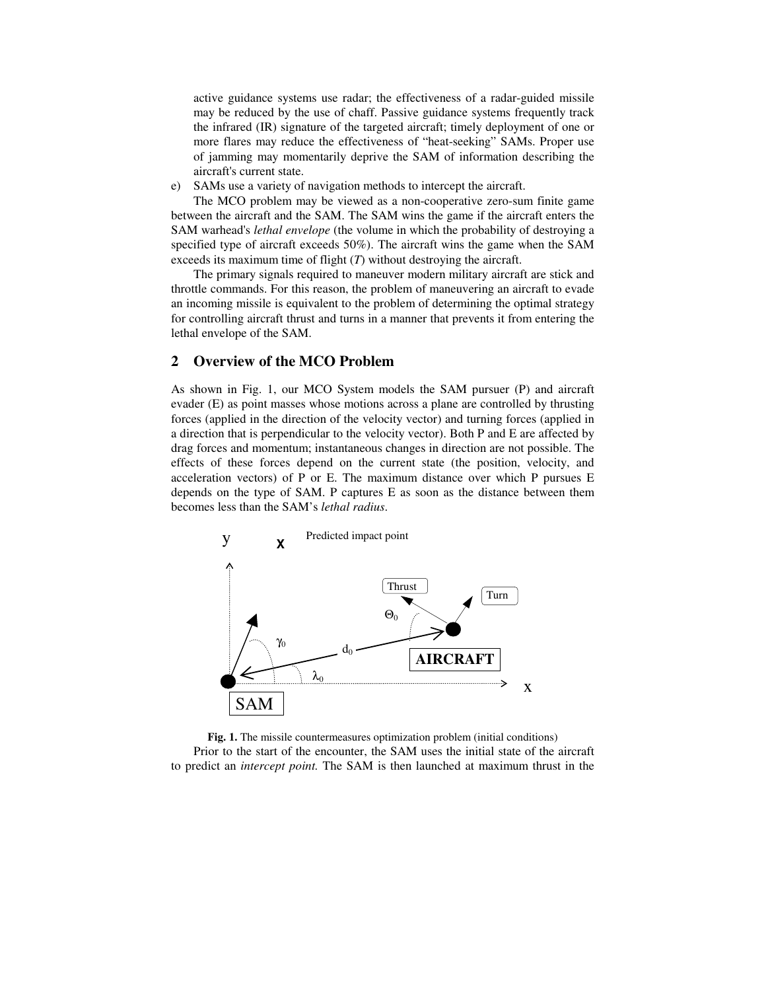active guidance systems use radar; the effectiveness of a radar-guided missile may be reduced by the use of chaff. Passive guidance systems frequently track the infrared (IR) signature of the targeted aircraft; timely deployment of one or more flares may reduce the effectiveness of "heat-seeking" SAMs. Proper use of jamming may momentarily deprive the SAM of information describing the aircraft's current state.

e) SAMs use a variety of navigation methods to intercept the aircraft.

The MCO problem may be viewed as a non-cooperative zero-sum finite game between the aircraft and the SAM. The SAM wins the game if the aircraft enters the SAM warhead's *lethal envelope* (the volume in which the probability of destroying a specified type of aircraft exceeds 50%). The aircraft wins the game when the SAM exceeds its maximum time of flight (*T*) without destroying the aircraft.

The primary signals required to maneuver modern military aircraft are stick and throttle commands. For this reason, the problem of maneuvering an aircraft to evade an incoming missile is equivalent to the problem of determining the optimal strategy for controlling aircraft thrust and turns in a manner that prevents it from entering the lethal envelope of the SAM.

### **2 Overview of the MCO Problem**

As shown in Fig. 1, our MCO System models the SAM pursuer (P) and aircraft evader (E) as point masses whose motions across a plane are controlled by thrusting forces (applied in the direction of the velocity vector) and turning forces (applied in a direction that is perpendicular to the velocity vector). Both P and E are affected by drag forces and momentum; instantaneous changes in direction are not possible. The effects of these forces depend on the current state (the position, velocity, and acceleration vectors) of P or E. The maximum distance over which P pursues E depends on the type of SAM. P captures E as soon as the distance between them becomes less than the SAM's *lethal radius*.



**Fig. 1.** The missile countermeasures optimization problem (initial conditions) Prior to the start of the encounter, the SAM uses the initial state of the aircraft to predict an *intercept point.* The SAM is then launched at maximum thrust in the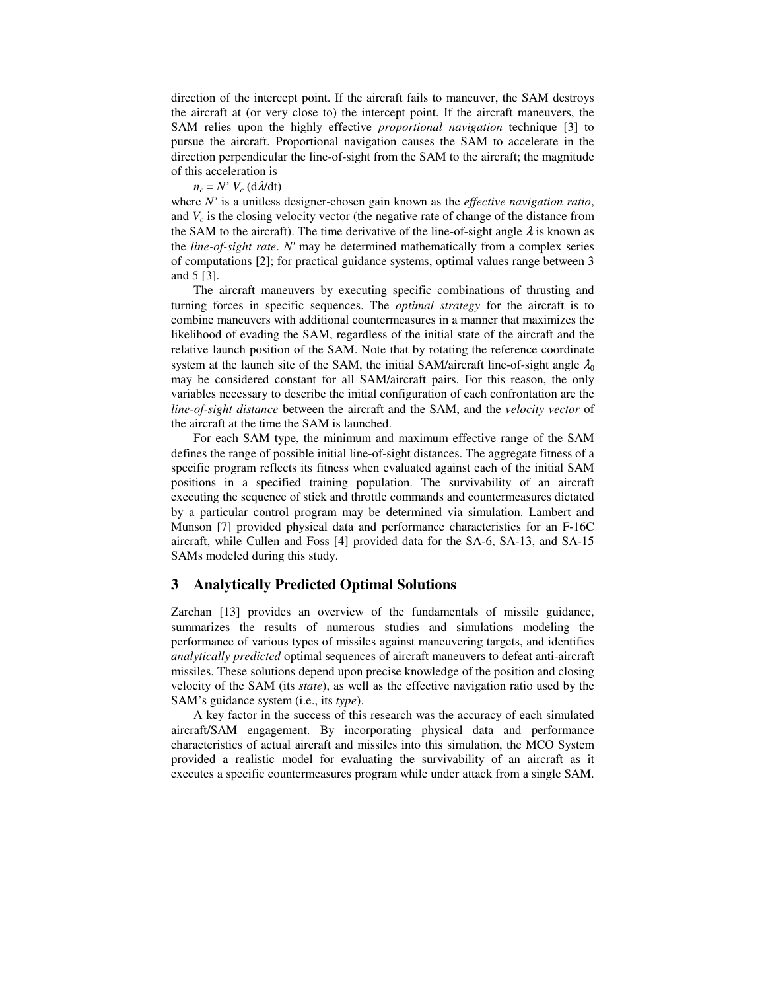direction of the intercept point. If the aircraft fails to maneuver, the SAM destroys the aircraft at (or very close to) the intercept point. If the aircraft maneuvers, the SAM relies upon the highly effective *proportional navigation* technique [3] to pursue the aircraft. Proportional navigation causes the SAM to accelerate in the direction perpendicular the line-of-sight from the SAM to the aircraft; the magnitude of this acceleration is

#### $n_c = N'$ <sup>*v*</sup> $V_c$  (d $\lambda$ /dt)

where *N'* is a unitless designer-chosen gain known as the *effective navigation ratio*, and *V<sup>c</sup>* is the closing velocity vector (the negative rate of change of the distance from the SAM to the aircraft). The time derivative of the line-of-sight angle  $\lambda$  is known as the *line-of-sight rate*. *N'*may be determined mathematically from a complex series of computations [2]; for practical guidance systems, optimal values range between 3 and 5 [3].

The aircraft maneuvers by executing specific combinations of thrusting and turning forces in specific sequences. The *optimal strategy* for the aircraft is to combine maneuvers with additional countermeasures in a manner that maximizes the likelihood of evading the SAM, regardless of the initial state of the aircraft and the relative launch position of the SAM. Note that by rotating the reference coordinate system at the launch site of the SAM, the initial SAM/aircraft line-of-sight angle  $\lambda_0$ may be considered constant for all SAM/aircraft pairs. For this reason, the only variables necessary to describe the initial configuration of each confrontation are the *line-of-sight distance* between the aircraft and the SAM, and the *velocity vector* of the aircraft at the time the SAM is launched.

For each SAM type, the minimum and maximum effective range of the SAM defines the range of possible initial line-of-sight distances. The aggregate fitness of a specific program reflects its fitness when evaluated against each of the initial SAM positions in a specified training population. The survivability of an aircraft executing the sequence of stick and throttle commands and countermeasures dictated by a particular control program may be determined via simulation. Lambert and Munson [7] provided physical data and performance characteristics for an F-16C aircraft, while Cullen and Foss [4] provided data for the SA-6, SA-13, and SA-15 SAMs modeled during this study.

# **3 Analytically Predicted Optimal Solutions**

Zarchan [13] provides an overview of the fundamentals of missile guidance, summarizes the results of numerous studies and simulations modeling the performance of various types of missiles against maneuvering targets, and identifies *analytically predicted* optimal sequences of aircraft maneuvers to defeat anti-aircraft missiles. These solutions depend upon precise knowledge of the position and closing velocity of the SAM (its *state*), as well as the effective navigation ratio used by the SAM's guidance system (i.e., its *type*).

A key factor in the success of this research was the accuracy of each simulated aircraft/SAM engagement. By incorporating physical data and performance characteristics of actual aircraft and missiles into this simulation, the MCO System provided a realistic model for evaluating the survivability of an aircraft as it executes a specific countermeasures program while under attack from a single SAM.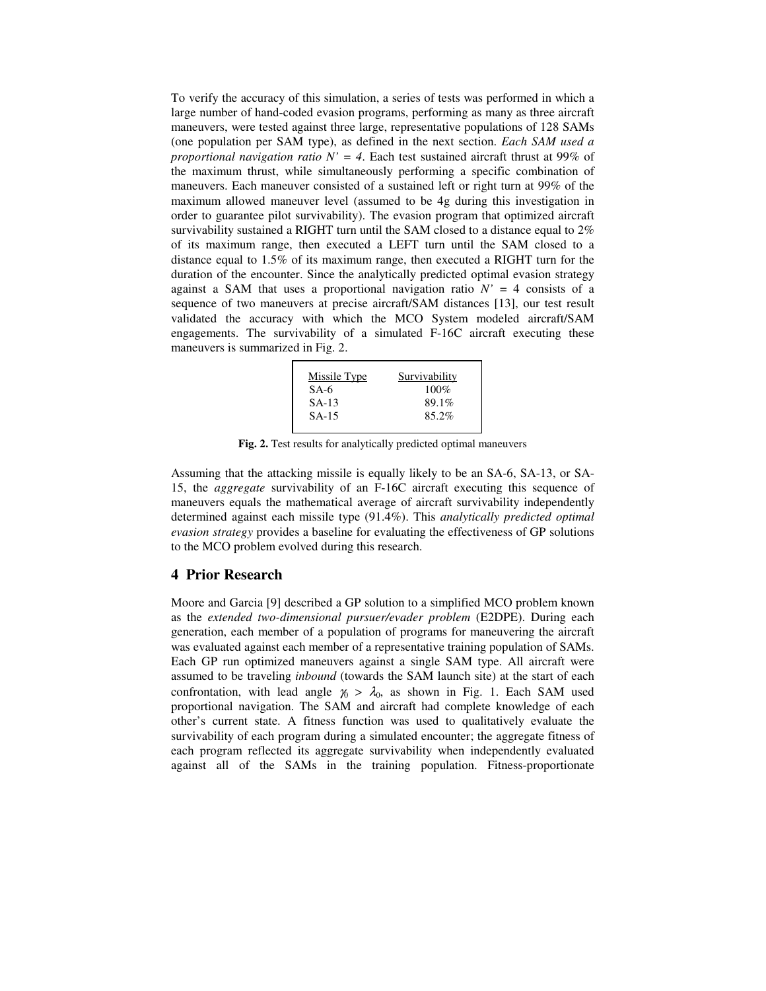To verify the accuracy of this simulation, a series of tests was performed in which a large number of hand-coded evasion programs, performing as many as three aircraft maneuvers, were tested against three large, representative populations of 128 SAMs (one population per SAM type), as defined in the next section. *Each SAM used a proportional navigation ratio N' = 4*. Each test sustained aircraft thrust at 99% of the maximum thrust, while simultaneously performing a specific combination of maneuvers. Each maneuver consisted of a sustained left or right turn at 99% of the maximum allowed maneuver level (assumed to be 4g during this investigation in order to guarantee pilot survivability). The evasion program that optimized aircraft survivability sustained a RIGHT turn until the SAM closed to a distance equal to 2% of its maximum range, then executed a LEFT turn until the SAM closed to a distance equal to 1.5% of its maximum range, then executed a RIGHT turn for the duration of the encounter. Since the analytically predicted optimal evasion strategy against a SAM that uses a proportional navigation ratio  $N' = 4$  consists of a sequence of two maneuvers at precise aircraft/SAM distances [13], our test result validated the accuracy with which the MCO System modeled aircraft/SAM engagements. The survivability of a simulated F-16C aircraft executing these maneuvers is summarized in Fig. 2.

| <b>Missile Type</b> | Survivability |
|---------------------|---------------|
| SA-6                | $100\%$       |
| $SA-13$             | 89.1%         |
| $SA-15$             | 85.2%         |

**Fig. 2.** Test results for analytically predicted optimal maneuvers

Assuming that the attacking missile is equally likely to be an SA-6, SA-13, or SA-15, the *aggregate* survivability of an F-16C aircraft executing this sequence of maneuvers equals the mathematical average of aircraft survivability independently determined against each missile type (91.4%). This *analytically predicted optimal evasion strategy* provides a baseline for evaluating the effectiveness of GP solutions to the MCO problem evolved during this research.

## **4 Prior Research**

Moore and Garcia [9] described a GP solution to a simplified MCO problem known as the *extended two-dimensional pursuer/evader problem* (E2DPE). During each generation, each member of a population of programs for maneuvering the aircraft was evaluated against each member of a representative training population of SAMs. Each GP run optimized maneuvers against a single SAM type. All aircraft were assumed to be traveling *inbound* (towards the SAM launch site) at the start of each confrontation, with lead angle  $\chi$  >  $\lambda$ <sub>0</sub>, as shown in Fig. 1. Each SAM used proportional navigation. The SAM and aircraft had complete knowledge of each other's current state. A fitness function was used to qualitatively evaluate the survivability of each program during a simulated encounter; the aggregate fitness of each program reflected its aggregate survivability when independently evaluated against all of the SAMs in the training population. Fitness-proportionate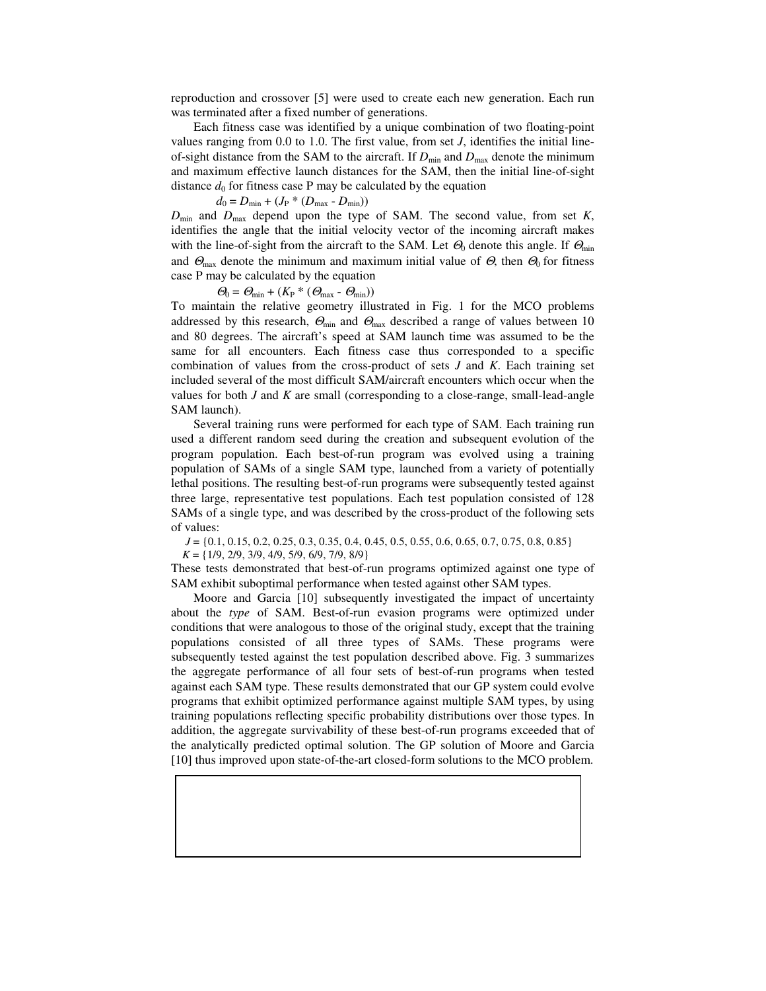reproduction and crossover [5] were used to create each new generation. Each run was terminated after a fixed number of generations.

Each fitness case was identified by a unique combination of two floating-point values ranging from 0.0 to 1.0. The first value, from set *J*, identifies the initial lineof-sight distance from the SAM to the aircraft. If  $D_{\text{min}}$  and  $D_{\text{max}}$  denote the minimum and maximum effective launch distances for the SAM, then the initial line-of-sight distance  $d_0$  for fitness case P may be calculated by the equation

 $d_0 = D_{\min} + (J_P * (D_{\max} - D_{\min}))$  $D_{\text{min}}$  and  $D_{\text{max}}$  depend upon the type of SAM. The second value, from set *K*, identifies the angle that the initial velocity vector of the incoming aircraft makes with the line-of-sight from the aircraft to the SAM. Let  $\Theta_0$  denote this angle. If  $\Theta_{\min}$ and  $\Theta_{\text{max}}$  denote the minimum and maximum initial value of  $\Theta$ , then  $\Theta_0$  for fitness case P may be calculated by the equation

$$
\Theta_0 = \Theta_{\min} + (K_{\rm P} * (\Theta_{\max} - \Theta_{\min}))
$$

To maintain the relative geometry illustrated in Fig. 1 for the MCO problems addressed by this research,  $\Theta_{\text{min}}$  and  $\Theta_{\text{max}}$  described a range of values between 10 and 80 degrees. The aircraft's speed at SAM launch time was assumed to be the same for all encounters. Each fitness case thus corresponded to a specific combination of values from the cross-product of sets *J* and *K*. Each training set included several of the most difficult SAM/aircraft encounters which occur when the values for both *J* and *K* are small (corresponding to a close-range, small-lead-angle SAM launch).

Several training runs were performed for each type of SAM. Each training run used a different random seed during the creation and subsequent evolution of the program population. Each best-of-run program was evolved using a training population of SAMs of a single SAM type, launched from a variety of potentially lethal positions. The resulting best-of-run programs were subsequently tested against three large, representative test populations. Each test population consisted of 128 SAMs of a single type, and was described by the cross-product of the following sets of values:

*J* = {0.1, 0.15, 0.2, 0.25, 0.3, 0.35, 0.4, 0.45, 0.5, 0.55, 0.6, 0.65, 0.7, 0.75, 0.8, 0.85}

*K* = {1/9, 2/9, 3/9, 4/9, 5/9, 6/9, 7/9, 8/9}

These tests demonstrated that best-of-run programs optimized against one type of SAM exhibit suboptimal performance when tested against other SAM types.

Moore and Garcia [10] subsequently investigated the impact of uncertainty about the *type* of SAM. Best-of-run evasion programs were optimized under conditions that were analogous to those of the original study, except that the training populations consisted of all three types of SAMs. These programs were subsequently tested against the test population described above. Fig. 3 summarizes the aggregate performance of all four sets of best-of-run programs when tested against each SAM type. These results demonstrated that our GP system could evolve programs that exhibit optimized performance against multiple SAM types, by using training populations reflecting specific probability distributions over those types. In addition, the aggregate survivability of these best-of-run programs exceeded that of the analytically predicted optimal solution. The GP solution of Moore and Garcia [10] thus improved upon state-of-the-art closed-form solutions to the MCO problem.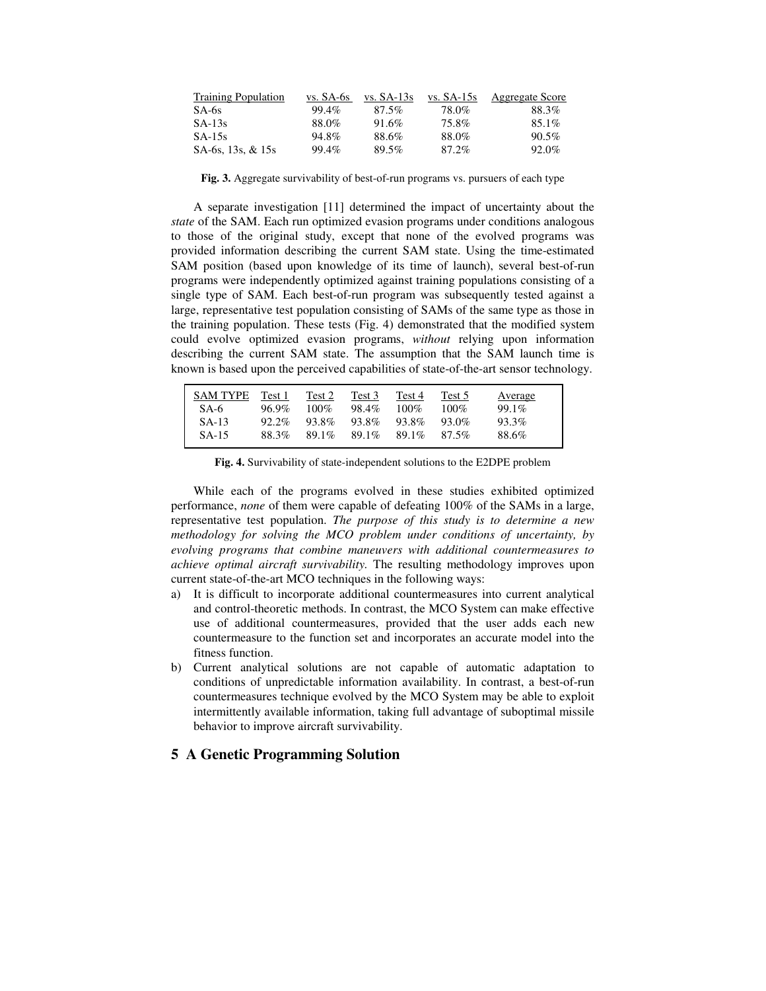| <b>Training Population</b> | $vs. SA-6s$ | $vs. SA-13s$ | $vs. SA-15s$ | Aggregate Score |
|----------------------------|-------------|--------------|--------------|-----------------|
| $SA-6s$                    | 99.4%       | 87.5%        | 78.0%        | 88.3%           |
| $SA-13s$                   | 88.0%       | 91.6%        | 75.8%        | $85.1\%$        |
| $SA-15s$                   | 94.8%       | 88.6%        | 88.0%        | 90.5%           |
| SA-6s, $13s$ , & $15s$     | 99.4%       | 89.5%        | 87.2%        | $92.0\%$        |

**Fig. 3.** Aggregate survivability of best-of-run programs vs. pursuers of each type

A separate investigation [11] determined the impact of uncertainty about the *state* of the SAM. Each run optimized evasion programs under conditions analogous to those of the original study, except that none of the evolved programs was provided information describing the current SAM state. Using the time-estimated SAM position (based upon knowledge of its time of launch), several best-of-run programs were independently optimized against training populations consisting of a single type of SAM. Each best-of-run program was subsequently tested against a large, representative test population consisting of SAMs of the same type as those in the training population. These tests (Fig. 4) demonstrated that the modified system could evolve optimized evasion programs, *without* relying upon information describing the current SAM state. The assumption that the SAM launch time is known is based upon the perceived capabilities of state-of-the-art sensor technology.

| <b>SAM TYPE</b> | Test 1   | Test 2  | Test 3   | Test 4  | Test 5  | Average  |  |
|-----------------|----------|---------|----------|---------|---------|----------|--|
| $S$ A-6         | 96.9%    | $100\%$ | 98.4%    | $100\%$ | $100\%$ | $99.1\%$ |  |
| $SA-13$         | $92.2\%$ | 93.8%   | 93.8%    | 93.8%   | 93.0%   | 93.3%    |  |
| $S_A-15$        | 88.3%    | 89.1%   | $89.1\%$ | 89.1%   | 87.5%   | 88.6%    |  |

**Fig. 4.** Survivability of state-independent solutions to the E2DPE problem

While each of the programs evolved in these studies exhibited optimized performance, *none* of them were capable of defeating 100% of the SAMs in a large, representative test population. *The purpose of this study is to determine a new methodology for solving the MCO problem under conditions of uncertainty, by evolving programs that combine maneuvers with additional countermeasures to achieve optimal aircraft survivability.* The resulting methodology improves upon current state-of-the-art MCO techniques in the following ways:

- a) It is difficult to incorporate additional countermeasures into current analytical and control-theoretic methods. In contrast, the MCO System can make effective use of additional countermeasures, provided that the user adds each new countermeasure to the function set and incorporates an accurate model into the fitness function.
- b) Current analytical solutions are not capable of automatic adaptation to conditions of unpredictable information availability. In contrast, a best-of-run countermeasures technique evolved by the MCO System may be able to exploit intermittently available information, taking full advantage of suboptimal missile behavior to improve aircraft survivability.

# **5 A Genetic Programming Solution**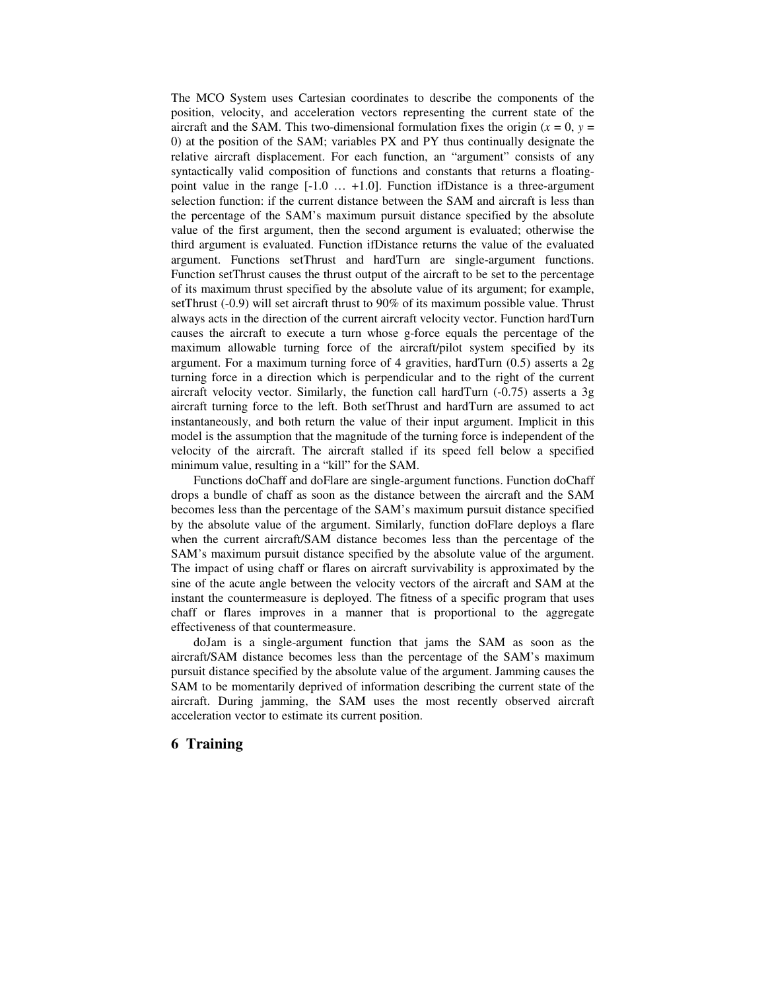The MCO System uses Cartesian coordinates to describe the components of the position, velocity, and acceleration vectors representing the current state of the aircraft and the SAM. This two-dimensional formulation fixes the origin ( $x = 0$ ,  $y =$ 0) at the position of the SAM; variables PX and PY thus continually designate the relative aircraft displacement. For each function, an "argument" consists of any syntactically valid composition of functions and constants that returns a floatingpoint value in the range [-1.0 … +1.0]. Function ifDistance is a three-argument selection function: if the current distance between the SAM and aircraft is less than the percentage of the SAM's maximum pursuit distance specified by the absolute value of the first argument, then the second argument is evaluated; otherwise the third argument is evaluated. Function ifDistance returns the value of the evaluated argument. Functions setThrust and hardTurn are single-argument functions. Function setThrust causes the thrust output of the aircraft to be set to the percentage of its maximum thrust specified by the absolute value of its argument; for example, setThrust (-0.9) will set aircraft thrust to 90% of its maximum possible value. Thrust always acts in the direction of the current aircraft velocity vector. Function hardTurn causes the aircraft to execute a turn whose g-force equals the percentage of the maximum allowable turning force of the aircraft/pilot system specified by its argument. For a maximum turning force of 4 gravities, hardTurn (0.5) asserts a 2g turning force in a direction which is perpendicular and to the right of the current aircraft velocity vector. Similarly, the function call hardTurn (-0.75) asserts a 3g aircraft turning force to the left. Both setThrust and hardTurn are assumed to act instantaneously, and both return the value of their input argument. Implicit in this model is the assumption that the magnitude of the turning force is independent of the velocity of the aircraft. The aircraft stalled if its speed fell below a specified minimum value, resulting in a "kill" for the SAM.

Functions doChaff and doFlare are single-argument functions. Function doChaff drops a bundle of chaff as soon as the distance between the aircraft and the SAM becomes less than the percentage of the SAM's maximum pursuit distance specified by the absolute value of the argument. Similarly, function doFlare deploys a flare when the current aircraft/SAM distance becomes less than the percentage of the SAM's maximum pursuit distance specified by the absolute value of the argument. The impact of using chaff or flares on aircraft survivability is approximated by the sine of the acute angle between the velocity vectors of the aircraft and SAM at the instant the countermeasure is deployed. The fitness of a specific program that uses chaff or flares improves in a manner that is proportional to the aggregate effectiveness of that countermeasure.

doJam is a single-argument function that jams the SAM as soon as the aircraft/SAM distance becomes less than the percentage of the SAM's maximum pursuit distance specified by the absolute value of the argument. Jamming causes the SAM to be momentarily deprived of information describing the current state of the aircraft. During jamming, the SAM uses the most recently observed aircraft acceleration vector to estimate its current position.

# **6 Training**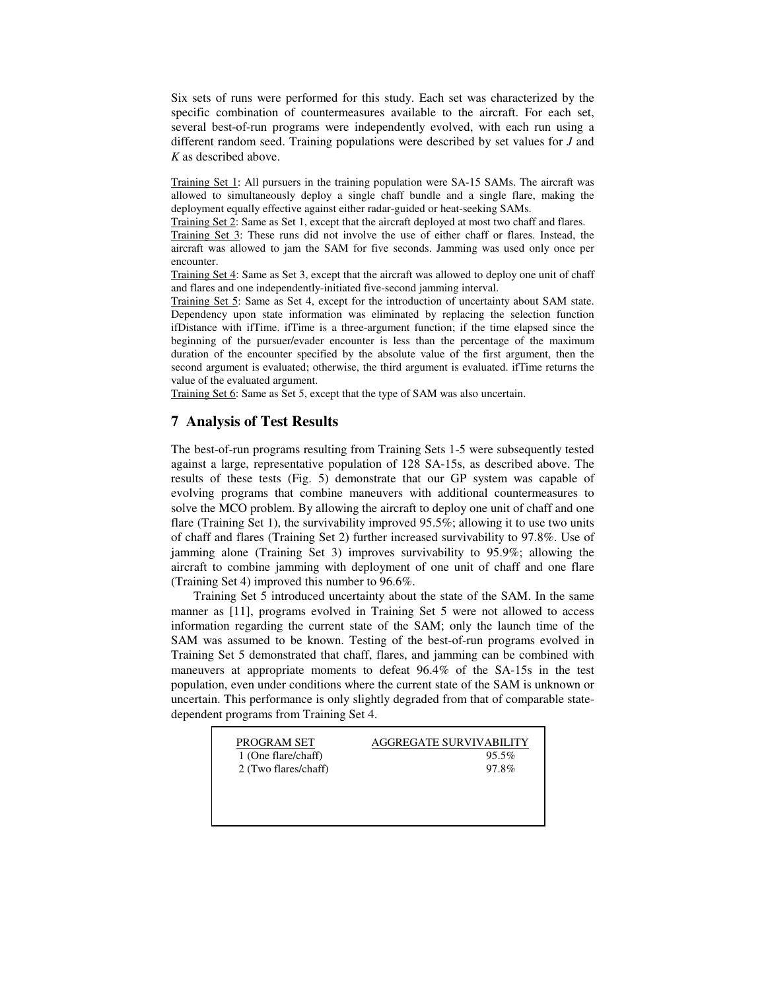Six sets of runs were performed for this study. Each set was characterized by the specific combination of countermeasures available to the aircraft. For each set, several best-of-run programs were independently evolved, with each run using a different random seed. Training populations were described by set values for *J* and *K* as described above.

Training Set 1: All pursuers in the training population were SA-15 SAMs. The aircraft was allowed to simultaneously deploy a single chaff bundle and a single flare, making the deployment equally effective against either radar-guided or heat-seeking SAMs.

Training Set 2: Same as Set 1, except that the aircraft deployed at most two chaff and flares.

Training Set 3: These runs did not involve the use of either chaff or flares. Instead, the aircraft was allowed to jam the SAM for five seconds. Jamming was used only once per encounter.

Training Set 4: Same as Set 3, except that the aircraft was allowed to deploy one unit of chaff and flares and one independently-initiated five-second jamming interval.

Training Set 5: Same as Set 4, except for the introduction of uncertainty about SAM state. Dependency upon state information was eliminated by replacing the selection function ifDistance with ifTime. ifTime is a three-argument function; if the time elapsed since the beginning of the pursuer/evader encounter is less than the percentage of the maximum duration of the encounter specified by the absolute value of the first argument, then the second argument is evaluated; otherwise, the third argument is evaluated. ifTime returns the value of the evaluated argument.

Training Set 6: Same as Set 5, except that the type of SAM was also uncertain.

## **7 Analysis of Test Results**

The best-of-run programs resulting from Training Sets 1-5 were subsequently tested against a large, representative population of 128 SA-15s, as described above. The results of these tests (Fig. 5) demonstrate that our GP system was capable of evolving programs that combine maneuvers with additional countermeasures to solve the MCO problem. By allowing the aircraft to deploy one unit of chaff and one flare (Training Set 1), the survivability improved 95.5%; allowing it to use two units of chaff and flares (Training Set 2) further increased survivability to 97.8%. Use of jamming alone (Training Set 3) improves survivability to 95.9%; allowing the aircraft to combine jamming with deployment of one unit of chaff and one flare (Training Set 4) improved this number to 96.6%.

Training Set 5 introduced uncertainty about the state of the SAM. In the same manner as [11], programs evolved in Training Set 5 were not allowed to access information regarding the current state of the SAM; only the launch time of the SAM was assumed to be known. Testing of the best-of-run programs evolved in Training Set 5 demonstrated that chaff, flares, and jamming can be combined with maneuvers at appropriate moments to defeat 96.4% of the SA-15s in the test population, even under conditions where the current state of the SAM is unknown or uncertain. This performance is only slightly degraded from that of comparable statedependent programs from Training Set 4.

| PROGRAM SET          | AGGREGATE SURVIVABILITY |
|----------------------|-------------------------|
| 1 (One flare/chaff)  | $95.5\%$                |
| 2 (Two flares/chaff) | 97.8%                   |
|                      |                         |
|                      |                         |
|                      |                         |
|                      |                         |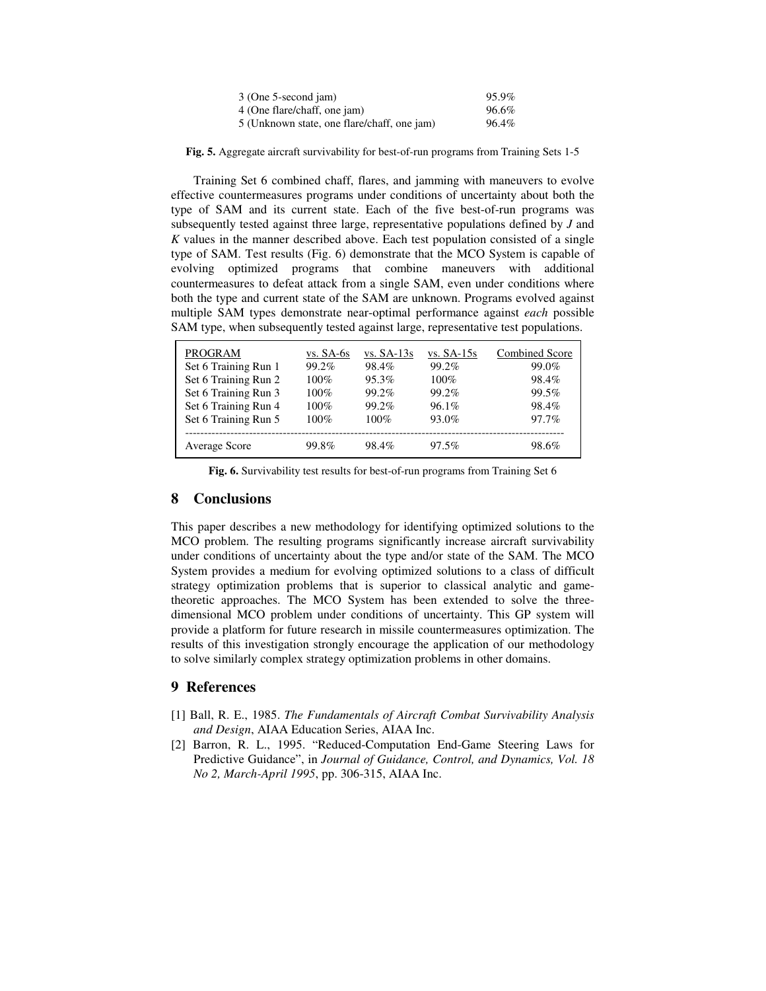| 3 (One 5-second jam)                        | 95.9% |
|---------------------------------------------|-------|
| 4 (One flare/chaff, one jam)                | 96.6% |
| 5 (Unknown state, one flare/chaff, one jam) | 96.4% |

**Fig. 5.** Aggregate aircraft survivability for best-of-run programs from Training Sets 1-5

Training Set 6 combined chaff, flares, and jamming with maneuvers to evolve effective countermeasures programs under conditions of uncertainty about both the type of SAM and its current state. Each of the five best-of-run programs was subsequently tested against three large, representative populations defined by *J* and *K* values in the manner described above. Each test population consisted of a single type of SAM. Test results (Fig. 6) demonstrate that the MCO System is capable of evolving optimized programs that combine maneuvers with additional countermeasures to defeat attack from a single SAM, even under conditions where both the type and current state of the SAM are unknown. Programs evolved against multiple SAM types demonstrate near-optimal performance against *each* possible SAM type, when subsequently tested against large, representative test populations.

| <b>PROGRAM</b>       | $vs. SA-6s$ | $vs. SA-13s$ | $vs. SA-15s$ | Combined Score |
|----------------------|-------------|--------------|--------------|----------------|
| Set 6 Training Run 1 | 99.2%       | 98.4%        | 99.2%        | 99.0%          |
| Set 6 Training Run 2 | $100\%$     | 95.3%        | $100\%$      | 98.4%          |
| Set 6 Training Run 3 | $100\%$     | $99.2\%$     | $99.2\%$     | 99.5%          |
| Set 6 Training Run 4 | 100%        | $99.2\%$     | 96.1%        | 98.4%          |
| Set 6 Training Run 5 | 100%        | $100\%$      | 93.0%        | $97.7\%$       |
|                      |             |              |              |                |
| Average Score        | 99.8%       | 98.4%        | 97.5%        | 98.6%          |

**Fig. 6.** Survivability test results for best-of-run programs from Training Set 6

## **8 Conclusions**

This paper describes a new methodology for identifying optimized solutions to the MCO problem. The resulting programs significantly increase aircraft survivability under conditions of uncertainty about the type and/or state of the SAM. The MCO System provides a medium for evolving optimized solutions to a class of difficult strategy optimization problems that is superior to classical analytic and gametheoretic approaches. The MCO System has been extended to solve the threedimensional MCO problem under conditions of uncertainty. This GP system will provide a platform for future research in missile countermeasures optimization. The results of this investigation strongly encourage the application of our methodology to solve similarly complex strategy optimization problems in other domains.

# **9 References**

- [1] Ball, R. E., 1985. *The Fundamentals of Aircraft Combat Survivability Analysis and Design*, AIAA Education Series, AIAA Inc.
- [2] Barron, R. L., 1995. "Reduced-Computation End-Game Steering Laws for Predictive Guidance", in *Journal of Guidance, Control, and Dynamics, Vol. 18 No 2, March-April 1995*, pp. 306-315, AIAA Inc.